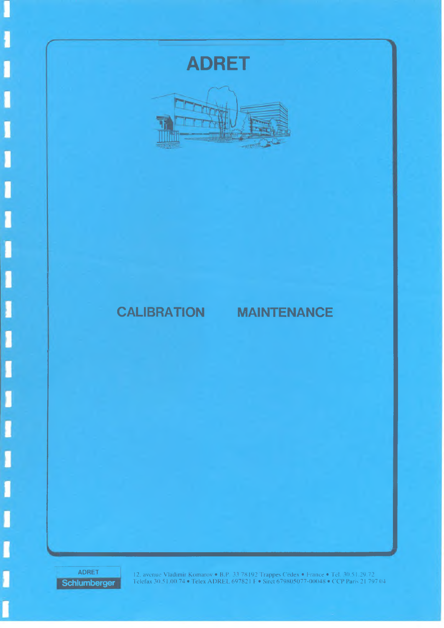# **ADRET**



## **CALIBRATION MAINTENANCE**

ADRET **Schlumberger**

12, avenue Vladimir Komarov • B.P. 33 78192 Trappes Cedex • France • Tel. 30.51.29.72 Telefax 30.5 1.00.74 • Telex A D R EL 69782 I I • Siret 679805077-00048 • CCP Paris 21 797 04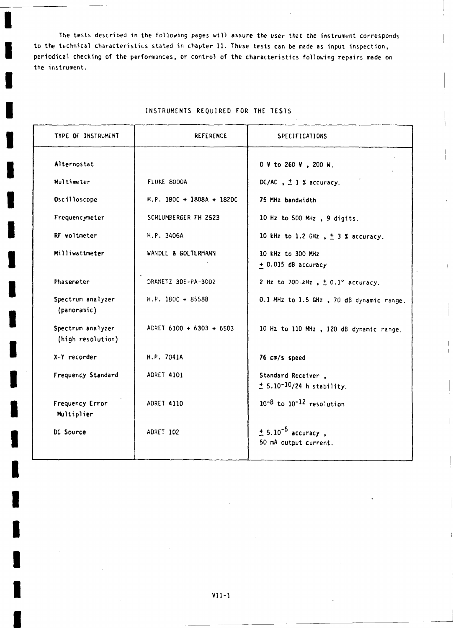The tests described in the following pages will assure the user that the instrument corresponds **to the technical characteristics stated in chapter 11. These tests can be made as input inspection, periodical checking of the performances, or control of the characteristics following repairs made on the instrument.**

#### **INSTRUMENTS REQUIRED FOR THE TESTS**

| <b>TYPE OF INSTRUMENT</b>              | <b>REFERENCE</b>          | SPECIFICATIONS                                              |
|----------------------------------------|---------------------------|-------------------------------------------------------------|
| Alternostat                            |                           | 0 V to 260 V , 200 W.                                       |
| Multimeter                             | FLUKE 8000A               | DC/AC, $\pm$ 1 % accuracy.                                  |
| Oscilloscope                           | H.P. 180C + 1808A + 1820C | 75 MHz bandwidth                                            |
| Frequencymeter                         | SCHLUMBERGER FH 2523      | 10 Hz to 500 MHz, 9 digits.                                 |
| RF voltmeter                           | H.P. 3406A                | 10 kHz to 1.2 GHz $, \pm 3$ % accuracy.                     |
| Milliwattmeter                         | WANDEL & GOLTERMANN       | 10 kHz to 300 MHz<br>+ 0.015 dB accuracy                    |
| Phasemeter                             | DRANETZ 305-PA-3002       | 2 Hz to 700 kHz $\sqrt{2}$ .1° accuracy.                    |
| Spectrum analyzer<br>(panoramic)       | H.P. 180C + 8558B         | 0.1 MHz to 1.5 GHz, 70 dB dynamic range.                    |
| Spectrum analyzer<br>(high resolution) | ADRET 6100 + 6303 + 6503  | 10 Hz to 110 MHz, 120 dB dynamic range.                     |
| X-Y recorder                           | H.P. 7041A                | 76 cm/s speed                                               |
| Frequency Standard                     | <b>ADRET 4101</b>         | Standard Receiver,<br>$± 5.10^{-10}/24$ h stability.        |
| Frequency Error<br>Multiplier          | <b>ADRET 4110</b>         | $10^{-8}$ to $10^{-12}$ resolution                          |
| DC Source                              | ADRET 102                 | $\pm$ 5.10 <sup>-5</sup> accuracy,<br>50 mA output current. |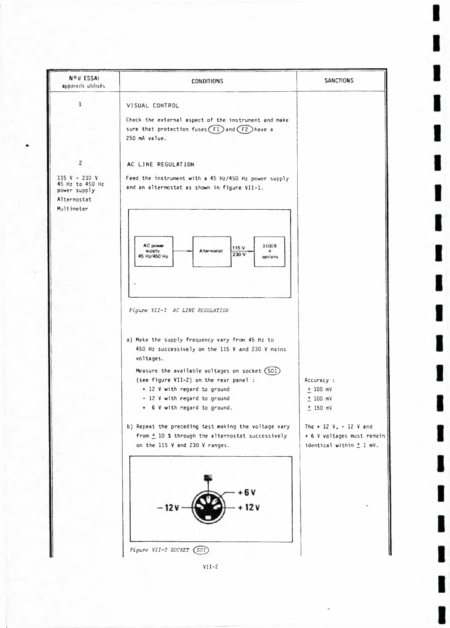

 $VII - 2$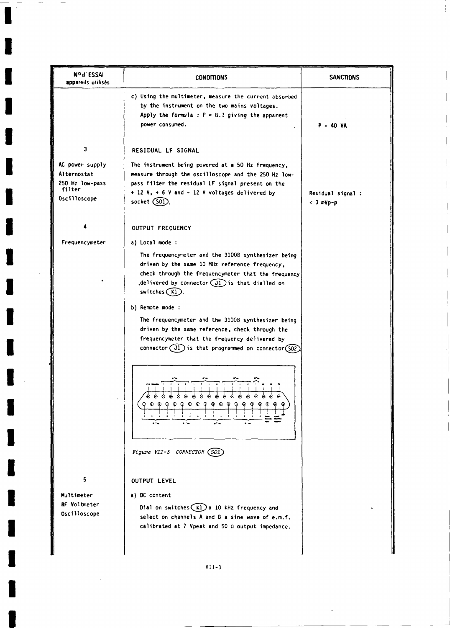| Nº d'ESSAI<br>appareils utilisés                                            | CONDITIONS                                                                                                                                                                                                                                   | <b>SANCTIONS</b>                 |
|-----------------------------------------------------------------------------|----------------------------------------------------------------------------------------------------------------------------------------------------------------------------------------------------------------------------------------------|----------------------------------|
|                                                                             | c) Using the multimeter, measure the current absorbed<br>by the instrument on the two mains voltages.<br>Apply the formula : $P = U.I$ giving the apparent<br>power consumed.                                                                | P < 40 VA                        |
| $\mathbf{3}$                                                                | RESIDUAL LF SIGNAL                                                                                                                                                                                                                           |                                  |
| AC power supply<br>Alternostat<br>250 Hz low-pass<br>filter<br>Oscilloscope | The instrument being powered at a 50 Hz frequency,<br>measure through the oscilloscope and the 250 Hz low-<br>pass filter the residual LF signal present on the<br>$+ 12 V$ , $+ 6 V$ and $- 12 V$ voltages delivered by<br>socket $(S01)$ . | Residual signal :<br>$<$ 3 mVp-p |
|                                                                             | <b>OUTPUT FREQUENCY</b>                                                                                                                                                                                                                      |                                  |
| Frequencymeter                                                              | a) Local mode :                                                                                                                                                                                                                              |                                  |
|                                                                             | The frequencymeter and the 3100B synthesizer being<br>driven by the same 10 MHz reference frequency,<br>check through the frequencymeter that the frequency<br>delivered by connector $(J1)$ is that dialled on<br>$switches(K1)$ .          |                                  |
|                                                                             | b) Remote mode :                                                                                                                                                                                                                             |                                  |
|                                                                             | The frequencymeter and the 3100B synthesizer being<br>driven by the same reference, check through the<br>frequencymeter that the frequency delivered by<br>connector $(i)$ is that programmed on connector (502)                             |                                  |
|                                                                             | ۵<br>Ġ.<br>Ġ.<br>۵<br>¢<br>6<br>ė<br>€<br>۵<br>۵<br>۵<br>                                                                                                                                                                                    |                                  |
|                                                                             | Figure VII-3 CONNECTOR (SO2                                                                                                                                                                                                                  |                                  |
| 5                                                                           | <b>OUTPUT LEVEL</b>                                                                                                                                                                                                                          |                                  |
| Multimeter<br>RF Voltmeter<br>Oscilloscope                                  | a) DC content<br>Dial on switches $(K1)$ a 10 kHz frequency and<br>select on channels A and B a sine wave of e.m.f.<br>calibrated at 7 Vpeak and 50 Q output impedance.                                                                      |                                  |
|                                                                             | $VII-3$                                                                                                                                                                                                                                      |                                  |

I

I

I

١

I

I

J.

 $\bar{z}$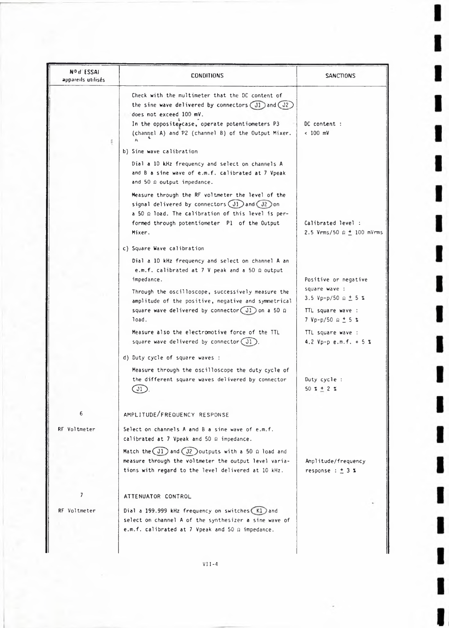| appareils utilisés. | <b>CONDITIONS</b>                                                                                                                                                                                                                                                                                                                     | SANCTIONS                                                                                                         |
|---------------------|---------------------------------------------------------------------------------------------------------------------------------------------------------------------------------------------------------------------------------------------------------------------------------------------------------------------------------------|-------------------------------------------------------------------------------------------------------------------|
|                     | Check with the multimeter that the DC content of<br>the sine wave delivered by connectors $(J1)$ and $(J2)$<br>does not exceed 100 mV.<br>In the opposite case, operate potentiometers P3<br>(channel A) and P2 (channel B) of the Output Mixer.<br>54                                                                                | DC content :<br>$< 100$ mV                                                                                        |
|                     | b) Sine wave calibration<br>Dial a 10 kHz frequency and select on channels A<br>and B a sine wave of e.m.f. calibrated at 7 Vpeak<br>and 50 $\Omega$ output impedance.<br>Measure through the RF voltmeter the level of the                                                                                                           |                                                                                                                   |
|                     | signal delivered by connectors $(J1)$ and $(J2)$ on<br>$a$ 50 $\Omega$ load. The calibration of this level is per-<br>formed through potentiometer P1 of the Output<br>Mixer.                                                                                                                                                         | Calibrated level :<br>2.5 Vrms/50 $\Omega \pm 100$ mVrms                                                          |
|                     | c) Square Wave calibration<br>Dial a 10 kHz frequency and select on channel A an<br>e.m.f. calibrated at 7 V peak and a 50 Ω output<br>impedance.<br>Through the oscilloscope, successively measure the<br>amplitude of the positive, negative and symmetrical<br>square wave delivered by connector $(J1)$ on a 50 $\Omega$<br>load. | Positive or negative<br>square wave :<br>3.5 Vp-p/50 $\Omega \pm 5$ %<br>TTL square wave :<br>7 Vp-p/50 Ω $±$ 5 % |
|                     | Measure also the electromotive force of the TTL<br>square wave delivered by connector (J1)                                                                                                                                                                                                                                            | TTL square wave :<br>4.2 Vp-p e.m.f. $+ 5 3$                                                                      |
|                     | d) Duty cycle of square waves :<br>Measure through the oscilloscope the duty cycle of<br>the different square waves delivered by connector<br>$\bigcup$                                                                                                                                                                               | Duty $cycle:$<br>$50 \times + 2 \times$                                                                           |
| 6                   | AMPLITUDE/FREQUENCY RESPONSE                                                                                                                                                                                                                                                                                                          |                                                                                                                   |
| RF Voltmeter        | Select on channels A and B a sine wave of e.m.f.<br>calibrated at 7 Vpeak and 50 0 impedance.<br>Match the $(J1)$ and $(J2)$ outputs with a 50 $\Omega$ load and<br>measure through the voltmeter the output level varia-<br>tions with regard to the level delivered at 10 kHz.                                                      | Amplitude/frequency<br>response : $\pm$ 3 %                                                                       |
| 7                   | ATTENUATOR CONTROL                                                                                                                                                                                                                                                                                                                    |                                                                                                                   |
| RF Voltmeter        | Dial a 199.999 kHz frequency on switches (K1) and<br>select on channel A of the synthesizer a sine wave of<br>e.m.f. calibrated at 7 Vpeak and 50 $\Omega$ impedance.                                                                                                                                                                 |                                                                                                                   |

ı

ı

I

ı

ı

ı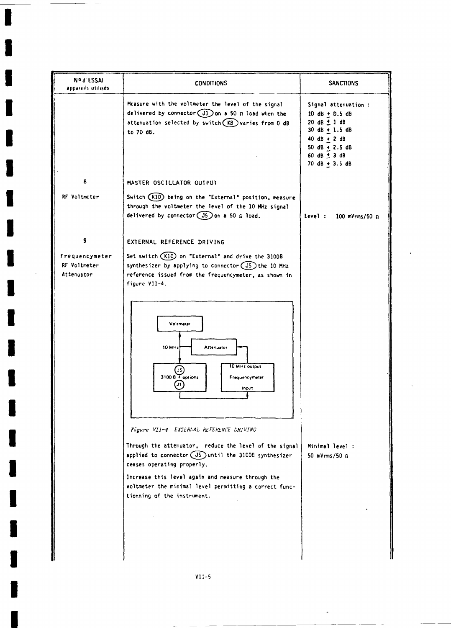| N <sup>o</sup> d ESSAI                       | <b>CONDITIONS</b>                                                                                                                                                                                                                                                                                                                                                                                                                                                                                                                                                                                                                              | <b>SANCTIONS</b>                                                                                                                                                                                               |
|----------------------------------------------|------------------------------------------------------------------------------------------------------------------------------------------------------------------------------------------------------------------------------------------------------------------------------------------------------------------------------------------------------------------------------------------------------------------------------------------------------------------------------------------------------------------------------------------------------------------------------------------------------------------------------------------------|----------------------------------------------------------------------------------------------------------------------------------------------------------------------------------------------------------------|
| appareils utilisés.                          |                                                                                                                                                                                                                                                                                                                                                                                                                                                                                                                                                                                                                                                |                                                                                                                                                                                                                |
|                                              | Measure with the voltmeter the level of the signal<br>delivered by connector $(J1)$ on a 50 $\Omega$ load when the<br>attenuation selected by switch $(KB)$ varies from 0 dB<br>to 70 dB.                                                                                                                                                                                                                                                                                                                                                                                                                                                      | Signal attenuation :<br>$10 \text{ dB} + 0.5 \text{ dB}$<br>$20 dB \pm 1 dB$<br>$30 \text{ dB} + 1.5 \text{ dB}$<br>$40 dB + 2 dB$<br>$50 dB + 2.5 dB$<br>60 dB $\pm$ 3 dB<br>$70 \text{ dB} + 3.5 \text{ dB}$ |
| 8                                            | MASTER OSCILLATOR OUTPUT                                                                                                                                                                                                                                                                                                                                                                                                                                                                                                                                                                                                                       |                                                                                                                                                                                                                |
| RF Voltmeter                                 | Switch (K10) being on the "External" position, measure<br>through the voltmeter the level of the 10 MHz signal<br>delivered by connector $(J5)$ on a 50 $\Omega$ load.                                                                                                                                                                                                                                                                                                                                                                                                                                                                         | Level :<br>$100$ mVrms/50 $\Omega$                                                                                                                                                                             |
| 9                                            | EXTERNAL REFERENCE DRIVING                                                                                                                                                                                                                                                                                                                                                                                                                                                                                                                                                                                                                     |                                                                                                                                                                                                                |
| Frequencymeter<br>RF Voltmeter<br>Attenuator | Set switch (K10) on "External" and drive the 3100B<br>synthesizer by applying to connector $(J5)$ the 10 MHz<br>reference issued from the frequencymeter, as shown in<br>figure VII-4.<br>Voltmeter<br>10 MHz<br>Attenuator<br>10 MHz output<br>3100 B Toptions<br>Frequencymeter<br>(J1)<br>Input<br>Figure VII-4 EXTERMAL REFERENCE DRIVING<br>Through the attenuator, reduce the level of the signal<br>applied to connector $(J5)$ until the 3100B synthesizer<br>ceases operating properly.<br>Increase this level again and measure through the<br>voltmeter the minimal level permitting a correct func-<br>tionning of the instrument. | Minimal level :<br>50 mVrms/50 0                                                                                                                                                                               |
|                                              |                                                                                                                                                                                                                                                                                                                                                                                                                                                                                                                                                                                                                                                |                                                                                                                                                                                                                |

J

J

ı

I

I

J.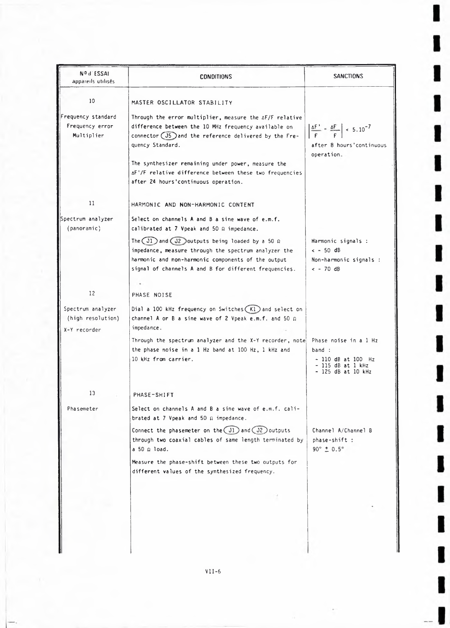| <b>NOU ESSAI</b><br>appareils utilisés.                | <b>CONDITIONS</b>                                                                                                                                                                                                                                                                                                | <b>SANCTIONS</b>                                                                                                          |
|--------------------------------------------------------|------------------------------------------------------------------------------------------------------------------------------------------------------------------------------------------------------------------------------------------------------------------------------------------------------------------|---------------------------------------------------------------------------------------------------------------------------|
| 10                                                     | MASTER OSCILLATOR STABILITY                                                                                                                                                                                                                                                                                      |                                                                                                                           |
| Frequency standard<br>Frequency error<br>Multiplier    | Through the error multiplier, measure the AF/F relative<br>difference between the 10 MHz frequency available on<br>connector $(J5)$ and the reference delivered by the Fre-<br>quency Standard.<br>The synthesizer remaining under power, measure the<br>AF'/F relative difference between these two frequencies | $\left  \frac{\Delta F'}{F} - \frac{\Delta F}{F} \right $ < 5.10 <sup>-7</sup><br>after 8 hours' continuous<br>operation. |
|                                                        | after 24 hours'continuous operation.                                                                                                                                                                                                                                                                             |                                                                                                                           |
| 11                                                     | HARMONIC AND NON-HARMONIC CONTENT                                                                                                                                                                                                                                                                                |                                                                                                                           |
| Spectrum analyzer<br>(panoramic)                       | Select on channels A and B a sine wave of e.m.f.<br>calibrated at 7 Vpeak and 50 $\Omega$ impedance.                                                                                                                                                                                                             |                                                                                                                           |
|                                                        | The $(31)$ and $(32)$ outputs being loaded by a 50 $\Omega$<br>impedance, measure through the spectrum analyzer the<br>harmonic and non-harmonic components of the output<br>signal of channels A and B for different frequencies.                                                                               | Harmonic signals :<br>$\leftarrow$ 50 dB<br>Non-harmonic signals :<br>$<-70dB$                                            |
|                                                        |                                                                                                                                                                                                                                                                                                                  |                                                                                                                           |
| 12                                                     | PHASE NOISE                                                                                                                                                                                                                                                                                                      |                                                                                                                           |
| Spectrum analyzer<br>(high resolution)<br>X-Y recorder | Dial a 100 kHz frequency on Switches $(K1)$ and select on<br>channel A or B a sine wave of 2 Vpeak e.m.f. and 50 $\Omega$<br>impedance.                                                                                                                                                                          |                                                                                                                           |
|                                                        | Through the spectrum analyzer and the X-Y recorder, note<br>the phase noise in a 1 Hz band at 100 Hz, 1 kHz and<br>10 kHz from carrier.                                                                                                                                                                          | Phase noise in a 1 Hz<br>band :<br>- 110 dB at 100 Hz<br>115 $dB$ at 1 $kHz$<br>- 125 dB at 10 kHz                        |
| 13                                                     | PHASE-SHIFT                                                                                                                                                                                                                                                                                                      |                                                                                                                           |
| Phasemeter                                             | Select on channels A and B a sine wave of e.m.f. cali-<br>brated at 7 Vpeak and 50 $\Omega$ impedance.                                                                                                                                                                                                           |                                                                                                                           |
|                                                        | Connect the phasemeter on the $(J1)$ and $(J2)$ outputs<br>through two coaxial cables of same length terminated by<br>a 50 Ω load.                                                                                                                                                                               | Channel A/Channel B<br>phase-shift :<br>$90^{\circ} \pm 0.5^{\circ}$                                                      |
|                                                        | Measure the phase-shift between these two outputs for<br>different values of the synthesized frequency.                                                                                                                                                                                                          |                                                                                                                           |
|                                                        |                                                                                                                                                                                                                                                                                                                  |                                                                                                                           |
|                                                        |                                                                                                                                                                                                                                                                                                                  |                                                                                                                           |

L

ı

ı

I

I

I

I

I

ı

ı

ı

ı

ı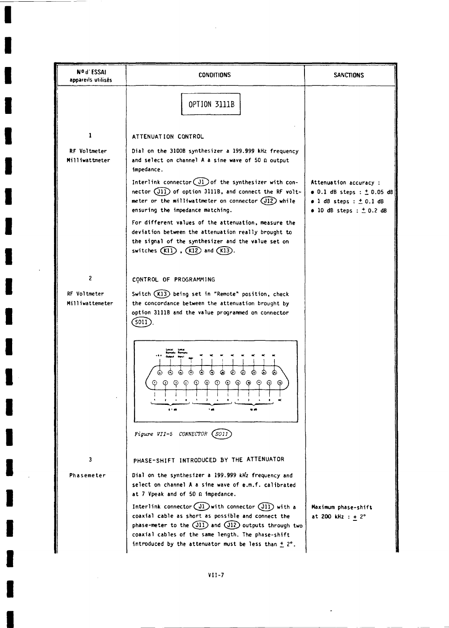| Nº d'ESSAI<br>appareils utilisés      | CONDITIONS                                                                                                                                                                                                                                                                                     | <b>SANCTIONS</b>                                                                                                                        |
|---------------------------------------|------------------------------------------------------------------------------------------------------------------------------------------------------------------------------------------------------------------------------------------------------------------------------------------------|-----------------------------------------------------------------------------------------------------------------------------------------|
|                                       | <b>OPTION 3111B</b>                                                                                                                                                                                                                                                                            |                                                                                                                                         |
| 1                                     | ATTENUATION CONTROL                                                                                                                                                                                                                                                                            |                                                                                                                                         |
| RF Voltmeter<br><b>Milliwattmeter</b> | Dial on the 3100B synthesizer a 199.999 kHz frequency<br>and select on channel A a sine wave of 50 $\Omega$ output<br>impedance.                                                                                                                                                               |                                                                                                                                         |
|                                       | Interlink connector $(J1)$ of the synthesizer with con-<br>nector (J11) of option 3111B, and connect the RF volt-<br>meter or the milliwattmeter on connector (J12) while<br>ensuring the impedance matching.                                                                                  | Attenuation accuracy :<br>• 0.1 dB steps : $\pm$ 0.05 dB<br>$\bullet$ 1 dB steps : $\pm$ 0.1 dB<br>$\bullet$ 10 dB steps : $\pm$ 0.2 dB |
|                                       | For different values of the attenuation, measure the<br>deviation between the attenuation really brought to<br>the signal of the synthesizer and the value set on<br>switches $(K11)$ , $(K12)$ and $(K13)$ .                                                                                  |                                                                                                                                         |
| $\overline{2}$                        | CONTROL OF PROGRAMMING                                                                                                                                                                                                                                                                         |                                                                                                                                         |
| RF Voltmeter<br>Milliwattemeter       | Switch (K13) being set in "Remote" position, check<br>the concordance between the attenuation brought by<br>option 3111B and the value programmed on connector<br>[SOI]                                                                                                                        |                                                                                                                                         |
|                                       | ⋒<br>ക<br>⊙<br>⊙<br>⊛<br>⊕<br>⊙<br>$\odot$<br>83. MB<br>- -                                                                                                                                                                                                                                    |                                                                                                                                         |
|                                       | Figure VII-5 CONNECTOR (SO11                                                                                                                                                                                                                                                                   |                                                                                                                                         |
| 3                                     | PHASE-SHIFT INTRODUCED BY THE ATTENUATOR                                                                                                                                                                                                                                                       |                                                                                                                                         |
| Phasemeter                            | Dial on the synthesizer a 199.999 kHz frequency and<br>select on channel A a sine wave of e.m.f. calibrated<br>at 7 Vpeak and of 50 m impedance.                                                                                                                                               |                                                                                                                                         |
|                                       | Interlink connector $(31)$ with connector $(311)$ with a<br>coaxial cable as short as possible and connect the<br>phase-meter to the $(i11)$ and $(i12)$ outputs through two<br>coaxial cables of the same length. The phase-shift<br>introduced by the attenuator must be less than $\pm$ 2°. | Maximum phase-shift<br>at 200 kHz : + 2°                                                                                                |

 $\sim$ 

J.

J

 $\ddot{\phantom{a}}$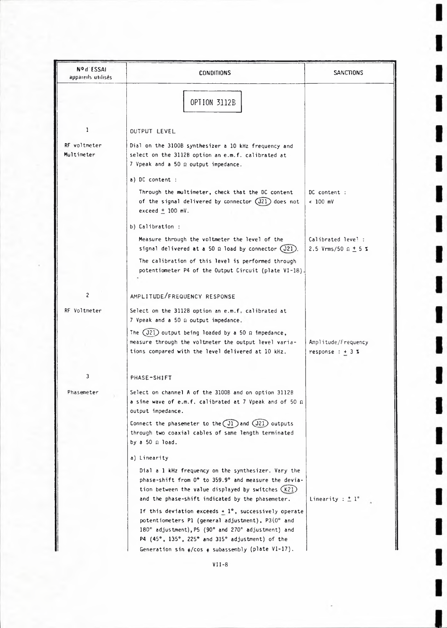| Nº d'ESSAI<br>appareils utilisés. | <b>CONDITIONS</b>                                                                                                                                                                                                                                                                           | SANCTIONS                                        |
|-----------------------------------|---------------------------------------------------------------------------------------------------------------------------------------------------------------------------------------------------------------------------------------------------------------------------------------------|--------------------------------------------------|
|                                   | OPTION 3112B                                                                                                                                                                                                                                                                                |                                                  |
| 1                                 | OUTPUT LEVEL                                                                                                                                                                                                                                                                                |                                                  |
| RF voltmeter<br>Multimeter        | Dial on the 3100B synthesizer a 10 kHz frequency and<br>select on the 3112B option an e.m.f. calibrated at<br>7 Vpeak and a 50 Ω output impedance.                                                                                                                                          |                                                  |
|                                   | a) DC content :                                                                                                                                                                                                                                                                             |                                                  |
|                                   | Through the multimeter, check that the DC content<br>of the signal delivered by connector $(J21)$ does not<br>exceed $\pm$ 100 mV.                                                                                                                                                          | DC content :<br>$< 100$ mV                       |
|                                   | b) Calibration :                                                                                                                                                                                                                                                                            |                                                  |
|                                   | Measure through the voltmeter the level of the<br>signal delivered at a 50 $\Omega$ load by connector (J21).                                                                                                                                                                                | Calibrated leve! :<br>2.5 Vrms/50 $\Omega$ + 5 % |
|                                   | The calibration of this level is performed through<br>potentiometer P4 of the Output Circuit (plate VI-18).                                                                                                                                                                                 |                                                  |
| $\overline{\mathbf{c}}$           | AMPLITUDE/FREQUENCY RESPONSE                                                                                                                                                                                                                                                                |                                                  |
| RF Voltmeter                      | Select on the 3112B option an e.m.f. calibrated at<br>7 Vpeak and a 50 Q output impedance.                                                                                                                                                                                                  |                                                  |
|                                   | The $(J21)$ output being loaded by a 50 $\Omega$ impedance,<br>measure through the voltmeter the output level varia-<br>tions compared with the level delivered at 10 kHz.                                                                                                                  | Amplitude/Frequency<br>response $: + 3$ %        |
| 3                                 | PHASE-SHIFT                                                                                                                                                                                                                                                                                 |                                                  |
| rnasene cei                       | Select on channel A of the 3100B and on option 3112B<br>a sine wave of e.m.f. calibrated at 7 Vpeak and of 50 $\Omega$<br>output impedance.                                                                                                                                                 |                                                  |
|                                   | Connect the phasemeter to the $(J1)$ and $(J21)$ outputs<br>through two coaxial cables of same length terminated<br>by a 50 Ω load.                                                                                                                                                         |                                                  |
|                                   | a) Linearity                                                                                                                                                                                                                                                                                |                                                  |
|                                   | Dial a 1 kHz frequency on the synthesizer. Vary the<br>phase-shift from 0° to 359.9° and measure the devia-<br>tion between the value displayed by switches (K21)<br>and the phase-shift indicated by the phasemeter.                                                                       | Linearity : $\pm 1^{\circ}$                      |
|                                   | If this deviation exceeds $+1^{\circ}$ , successively operate<br>potentiometers P1 (general adjustment), P3(0° and<br>180° adjustment), P5 (90° and 270° adjustment) and<br>P4 (45°, 135°, 225° and 315° adjustment) of the<br>Generation sin $\phi$ /cos $\phi$ subassembly (plate VI-17). |                                                  |

I

١

I

ı

ı

ı

ı

I

**VI1-8**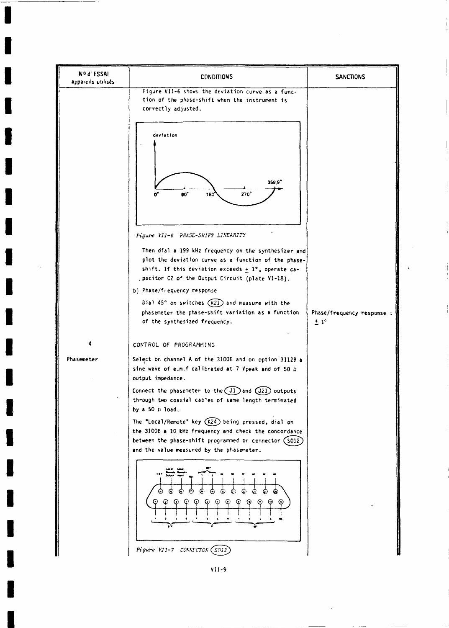

**VII - 9**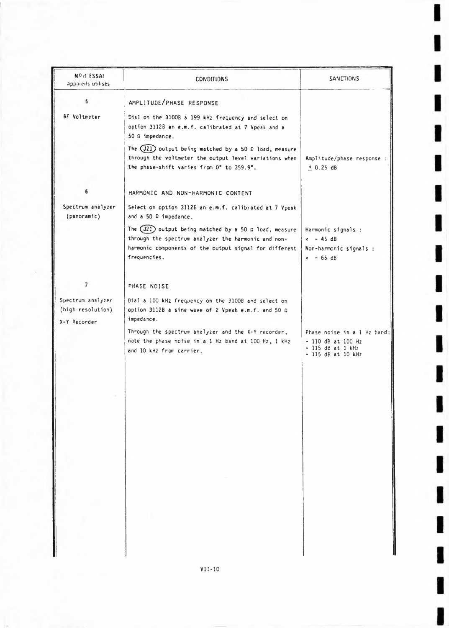| NO d'ESSAI<br>apparents utilisés.                      | <b>CONDITIONS</b>                                                                                                                                                                                | <b>SANCTIONS</b>                                                                                 |
|--------------------------------------------------------|--------------------------------------------------------------------------------------------------------------------------------------------------------------------------------------------------|--------------------------------------------------------------------------------------------------|
| 5                                                      | AMPLITUDE/PHASE RESPONSE                                                                                                                                                                         |                                                                                                  |
| RF Voltmeter                                           | Dial on the 3100B a 199 kHz frequency and select on<br>option 3112B an e.m.f. calibrated at 7 Vpeak and a<br>$50 \Omega$ impedance.                                                              |                                                                                                  |
|                                                        | The $(J21)$ output being matched by a 50 $\Omega$ load, measure<br>through the voltmeter the output level variations when<br>the phase-shift varies from 0° to 359.9°.                           | Amplitude/phase response<br>$+0.25 dB$                                                           |
|                                                        | HARMONIC AND NON-HARMONIC CONTENT                                                                                                                                                                |                                                                                                  |
| Spectrum analyzer<br>(panoramic)                       | Select on option 3112B an e.m.f. calibrated at 7 Vpeak<br>and a 50 $\Omega$ impedance.                                                                                                           |                                                                                                  |
|                                                        | The $(J21)$ output being matched by a 50 $\Omega$ load, measure<br>through the spectrum analyzer the harmonic and non-<br>harmonic components of the output signal for different<br>frequencies. | Harmonic signals :<br>$<-45dB$<br>Non-harmonic signals :<br>$<-65 dB$                            |
| $7\phantom{.}$                                         | PHASE NOISE                                                                                                                                                                                      |                                                                                                  |
| Spectrum analyzer<br>(high resolution)<br>X-Y Recorder | Dial a 100 kHz frequency on the 3100B and select on<br>option 3112B a sine wave of 2 Vpeak e.m.f. and 50 Ω<br>impedance.                                                                         |                                                                                                  |
|                                                        | Through the spectrum analyzer and the X-Y recorder,<br>note the phase noise in a 1 Hz band at 100 Hz, 1 kHz<br>and 10 kHz from carrier.                                                          | Phase noise in a 1 Hz band:<br>- 110 dB at 100 Hz<br>$-115$ dB at 1 kHz<br>$-115$ dB at $10$ kHz |
|                                                        |                                                                                                                                                                                                  |                                                                                                  |
|                                                        |                                                                                                                                                                                                  |                                                                                                  |
|                                                        |                                                                                                                                                                                                  |                                                                                                  |
|                                                        |                                                                                                                                                                                                  |                                                                                                  |
|                                                        |                                                                                                                                                                                                  |                                                                                                  |

ı

I

I

ı

I

ı

I

I

I

I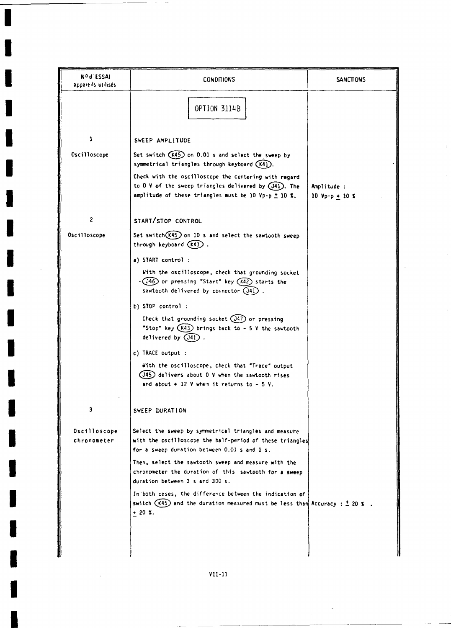| Nºd ESSAI<br>apparents utilisés | <b>CONDITIONS</b>                                                                                                                                                                   | <b>SANCTIONS</b>              |
|---------------------------------|-------------------------------------------------------------------------------------------------------------------------------------------------------------------------------------|-------------------------------|
|                                 | <b>OPTION 3114B</b>                                                                                                                                                                 |                               |
| 1                               | SWEEP AMPLITUDE                                                                                                                                                                     |                               |
| <b>Oscilloscope</b>             | Set switch (K45) on 0.01 s and select the sweep by<br>symmetrical triangles through keyboard (K41).                                                                                 |                               |
|                                 | Check with the oscilloscope the centering with regard<br>to 0 V of the sweep triangles delivered by (J41). The<br>amplitude of these triangles must be 10 Vp-p $\pm$ 10 X.          | Amplitude :<br>10 Vp-p + 10 % |
| $\overline{c}$                  | START/STOP CONTROL                                                                                                                                                                  |                               |
| Oscilloscope                    | Set switch(K45) on 10 s and select the sawtooth sweep<br>through keyboard $(K4)$ .                                                                                                  |                               |
|                                 | a) START control:<br>With the oscilloscope, check that grounding socket<br>$\cdot$ (J46) or pressing "Start" key (K42) starts the<br>sawtooth delivered by connector (341).         |                               |
|                                 | b) STOP control:<br>Check that grounding socket $(347)$ or pressing<br>"Stop" key $(K43)$ brings back to - 5 V the sawtooth<br>delivered by $(J4)$ .                                |                               |
|                                 | c) TRACE output :<br>With the oscilloscope, check that "Trace" output<br>$($ J45 $)$ delivers about 0 V when the sawtooth rises<br>and about $\div$ 12 V when it returns to $-5$ V. |                               |
| 3                               | SWEEP DURATION                                                                                                                                                                      |                               |
| Oscilloscope<br>chronometer     | Select the sweep by symmetrical triangles and measure<br>with the oscilloscope the half-period of these triangles<br>for a sweep duration between 0.01 s and 1 s.                   |                               |
|                                 | Then, select the sawtooth sweep and measure with the<br>chronometer the duration of this sawtooth for a sweep<br>duration between 3 s and 300 s.                                    |                               |
|                                 | In both cases, the difference between the indication of<br>switch $(K45)$ and the duration measured must be less than Accuracy : $\pm$ 20 %.<br>$+20 X.$                            |                               |
|                                 |                                                                                                                                                                                     |                               |

J

F

١

I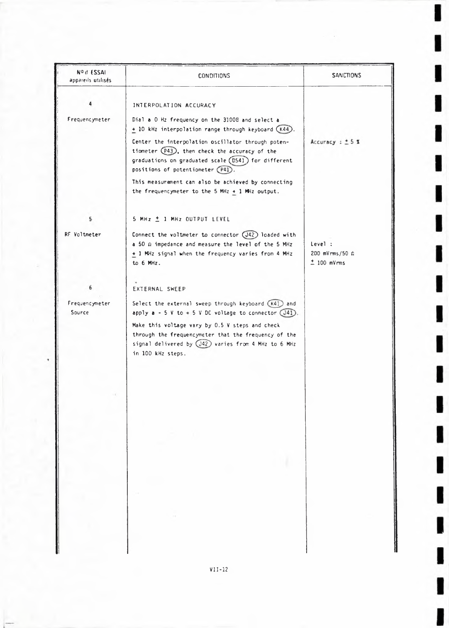| Nº d'ESSAI<br>appareils utilisés. | <b>CONDITIONS</b>                                                                                            | <b>SANCTIONS</b>                                |
|-----------------------------------|--------------------------------------------------------------------------------------------------------------|-------------------------------------------------|
|                                   |                                                                                                              |                                                 |
|                                   | INTERPOLATION ACCURACY                                                                                       |                                                 |
| Frequencymeter                    | Dial a O Hz frequency on the 3100B and select a<br>+ 10 kHz interpolation range through keyboard (K44).      |                                                 |
|                                   | Center the interpolation oscillator through poten-                                                           | Accuracy : $± 5$ %                              |
|                                   | tiometer (P43), then check the accuracy of the                                                               |                                                 |
|                                   | graduations on graduated scale (DS41) for different                                                          |                                                 |
|                                   | positions of potentiometer (P41).                                                                            |                                                 |
|                                   | This measurement can also be achieved by connecting<br>the frequencymeter to the 5 MHz $+$ 1 MHz output.     |                                                 |
|                                   |                                                                                                              |                                                 |
|                                   | 5 MHz ± 1 MHz OUTPUT LEVEL                                                                                   |                                                 |
| RF Voltmeter                      |                                                                                                              |                                                 |
|                                   | Connect the voltmeter to connector (J42) loaded with<br>a 50 m impedance and measure the level of the 5 MHz  | Level:                                          |
|                                   | + 1 MHz signal when the frequency varies from 4 MHz                                                          | $200 \, \text{mV} \, \text{rms} / 50 \, \Omega$ |
|                                   | to 6 MHz.                                                                                                    | $±$ 100 mV $rms$                                |
|                                   | EXTERNAL SWEEP                                                                                               |                                                 |
| Frequencymeter                    | Select the external sweep through keyboard (K41) and                                                         |                                                 |
| Source                            | apply $a - 5$ V to $+ 5$ V DC voltage to connector (J41)                                                     |                                                 |
|                                   | Make this voltage vary by 0.5 V steps and check                                                              |                                                 |
|                                   | through the frequencymeter that the frequency of the<br>signal delivered by (J42) varies from 4 MHz to 6 MHz |                                                 |
|                                   | in 100 kHz steps.                                                                                            |                                                 |
|                                   |                                                                                                              |                                                 |
|                                   |                                                                                                              |                                                 |
|                                   |                                                                                                              |                                                 |
|                                   |                                                                                                              |                                                 |
|                                   |                                                                                                              |                                                 |
|                                   |                                                                                                              |                                                 |
|                                   |                                                                                                              |                                                 |
|                                   |                                                                                                              |                                                 |
|                                   |                                                                                                              |                                                 |
|                                   |                                                                                                              |                                                 |
|                                   |                                                                                                              |                                                 |
|                                   | $\sim$                                                                                                       |                                                 |
|                                   |                                                                                                              |                                                 |
|                                   |                                                                                                              |                                                 |

ı

ı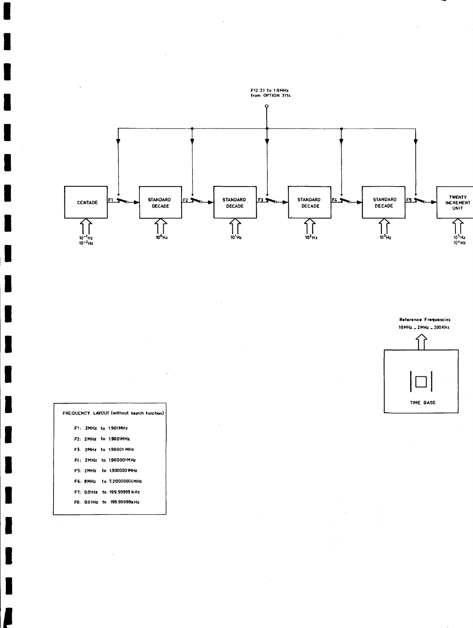



 $\label{eq:2} \begin{split} \mathcal{L}_{\text{max}}(\mathbf{r}) = \mathcal{L}_{\text{max}}(\mathbf{r}) \\ \mathcal{L}_{\text{max}}(\mathbf{r}) = \mathcal{L}_{\text{max}}(\mathbf{r}) \end{split}$ 

 $\hat{\boldsymbol{\beta}}$ 

 $\bar{\mathcal{A}}$ 

| FREQUENCY LAYOUT (without search function) |
|--------------------------------------------|
| F1: 2MHz to 1.901MHz                       |
| F2: 2MHz to 1.9001MHz                      |
| F3: 2MHz to 190001 MHz                     |
| F4: 2MHz to 1.900001MHz                    |
| F5: 2MHz to 1.9000001MHz                   |
| FG SMHz to 720000004MHz                    |
| F7: 0.01Hz to 199.99999 kHz                |
| F8: 0.01Hz to 199.99999kHz                 |
|                                            |

 $\bar{z}$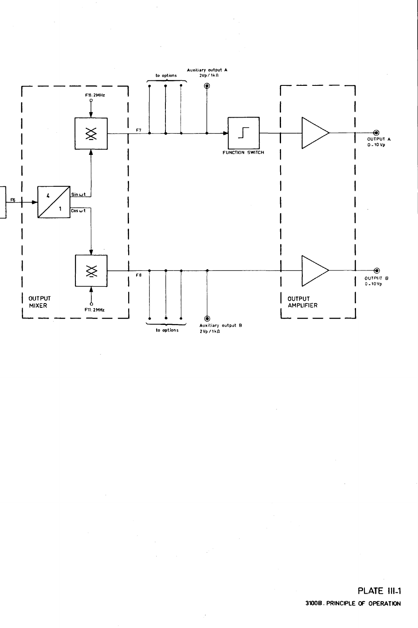

Ç.

 $\overline{\phantom{a}}$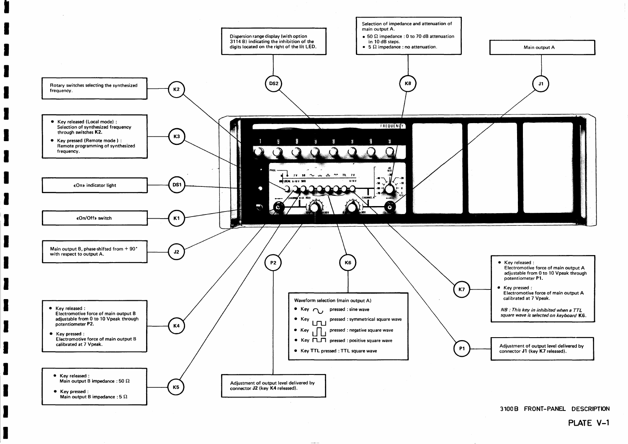

**3100B FRONT-PANEL DESCRIPTION**

#### **PLATE V-1**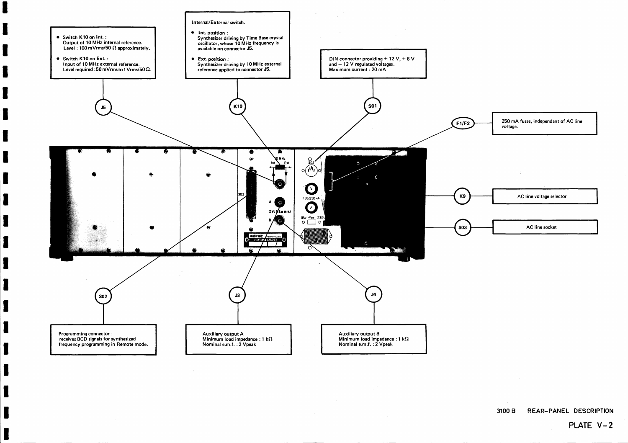250 mA fuses, independant of AC line voltage.

AC line voltage selector

AC line socket



**3100 B REAR-PANEL DESCRIPTION**

### **PLATE V-2**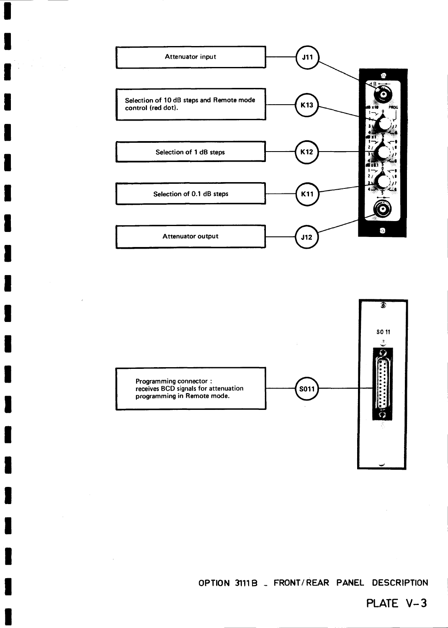



**OPTION 3111B - FRONT/REAR PANEL DESCRIPTION**

#### **PLATE V-3**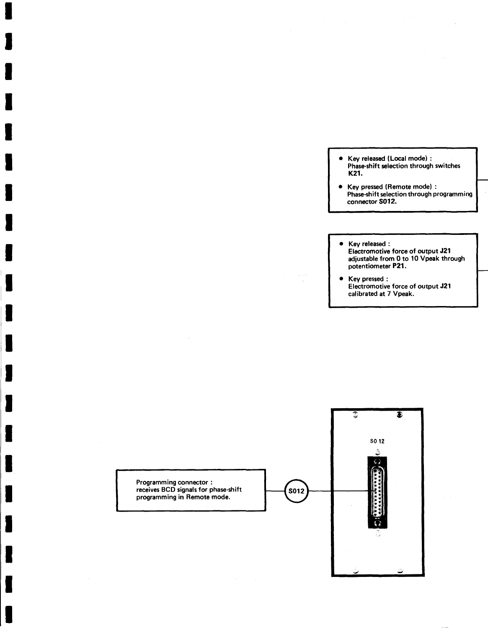- Key released (Local mode) : Phase-shift selection through switches K21.
- Key pressed (Remote mode) : Phase-shift selection through programming connector S012.
- Key released : Electromotive force of output J21 adjustable from 0 to 10 Vpeak through potentiometer P 2 1 .
- Key pressed : Electromotive force of output J21 calibrated at 7 Vpeak.

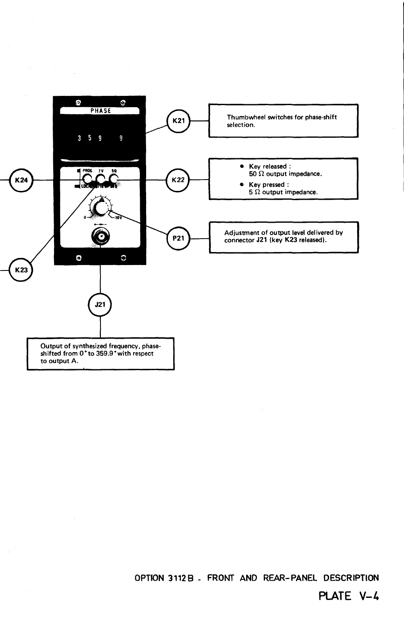

 $\sim$ 

 $\hat{\mathcal{L}}$ 

**OPTION 3112B - FRONT AND REAR-PANEL DESCRIPTION**

**PLATE V-4**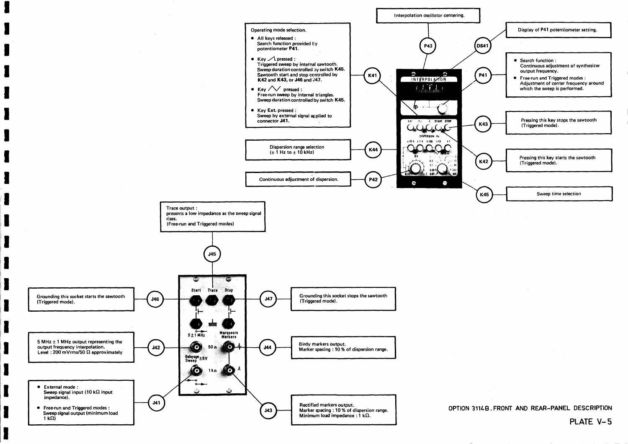



**OPTION 31UB.FRONT AND REAR-PANEL DESCRIPTION PLATE V-5**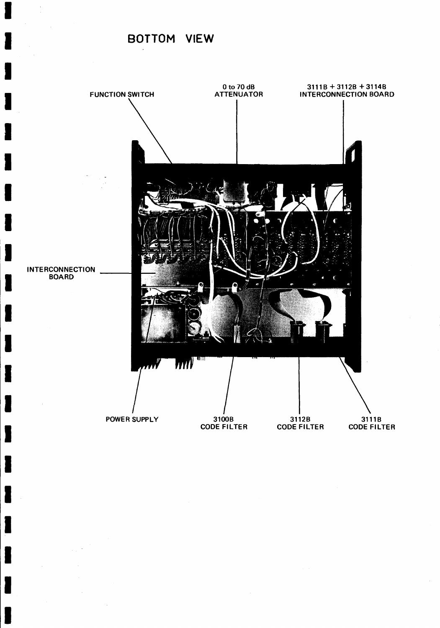#### **BOTTOM VIEW**

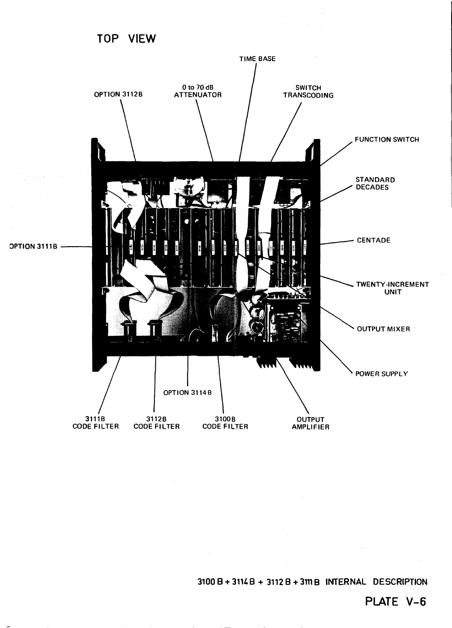

**3100 B + 31U.B + 3112 B + 3111B INTERNAL DESCRIPTION**

 $\alpha$  ,  $\alpha$  ,  $\beta$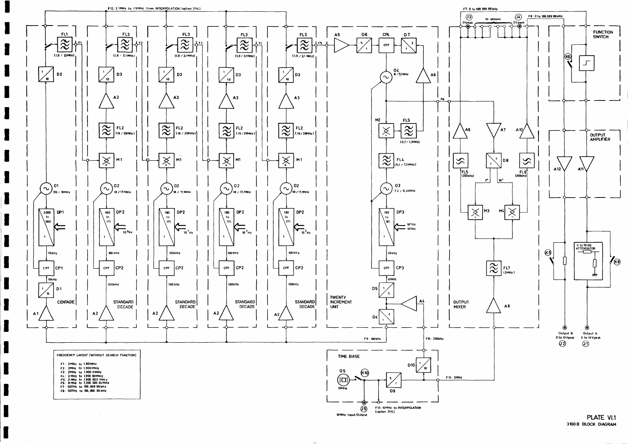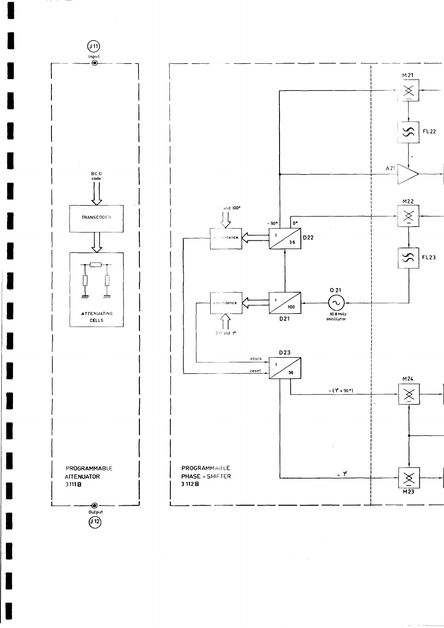

 $\frac{1}{2} \frac{1}{2} \frac{1}{2}$ 

L